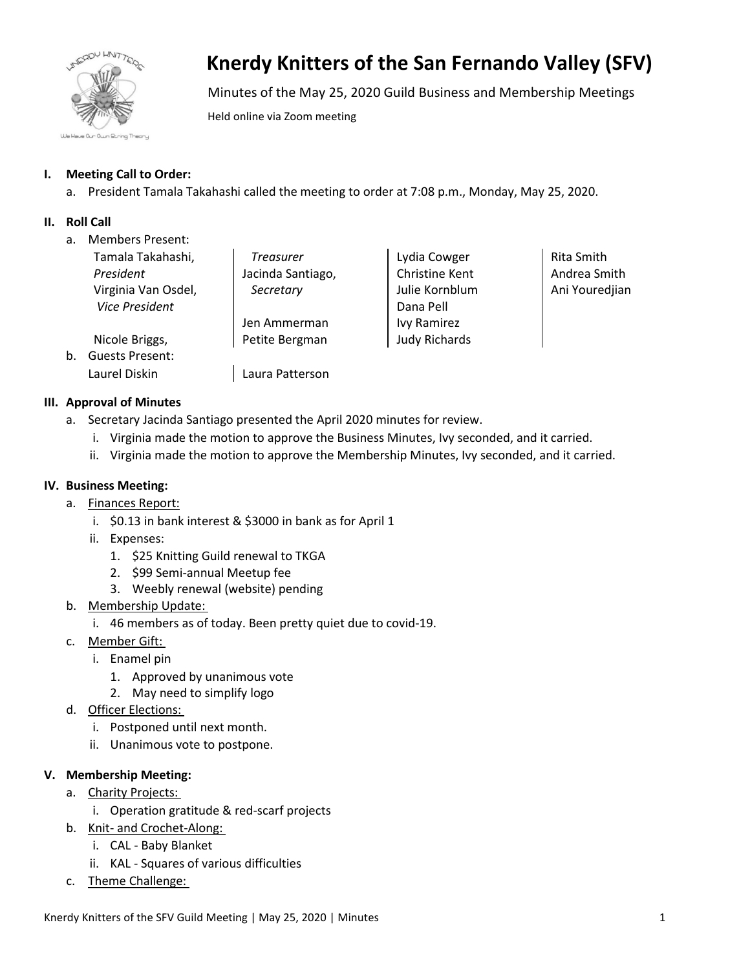

# **Knerdy Knitters of the San Fernando Valley (SFV)**

Minutes of the May 25, 2020 Guild Business and Membership Meetings

Held online via Zoom meeting

# **I. Meeting Call to Order:**

a. President Tamala Takahashi called the meeting to order at 7:08 p.m., Monday, May 25, 2020.

# **II. Roll Call**

a. Members Present:

|    | Tamala Takahashi,      | <b>Treasurer</b>  | Lydia Cowger          | Rita Smith     |
|----|------------------------|-------------------|-----------------------|----------------|
|    |                        |                   |                       |                |
|    | President              | Jacinda Santiago, | <b>Christine Kent</b> | Andrea Smith   |
|    | Virginia Van Osdel,    | Secretary         | Julie Kornblum        | Ani Youredjian |
|    | <b>Vice President</b>  |                   | Dana Pell             |                |
|    |                        | Jen Ammerman      | <b>Ivy Ramirez</b>    |                |
|    | Nicole Briggs,         | Petite Bergman    | <b>Judy Richards</b>  |                |
| b. | <b>Guests Present:</b> |                   |                       |                |
|    | Laurel Diskin          | Laura Patterson   |                       |                |

## **III. Approval of Minutes**

- a. Secretary Jacinda Santiago presented the April 2020 minutes for review.
	- i. Virginia made the motion to approve the Business Minutes, Ivy seconded, and it carried.
	- ii. Virginia made the motion to approve the Membership Minutes, Ivy seconded, and it carried.

### **IV. Business Meeting:**

- a. Finances Report:
	- i. \$0.13 in bank interest & \$3000 in bank as for April 1
	- ii. Expenses:
		- 1. \$25 Knitting Guild renewal to TKGA
		- 2. \$99 Semi-annual Meetup fee
		- 3. Weebly renewal (website) pending
- b. Membership Update:
	- i. 46 members as of today. Been pretty quiet due to covid-19.
- c. Member Gift:
	- i. Enamel pin
		- 1. Approved by unanimous vote
		- 2. May need to simplify logo
- d. Officer Elections:
	- i. Postponed until next month.
	- ii. Unanimous vote to postpone.

## **V. Membership Meeting:**

- a. Charity Projects:
	- i. Operation gratitude & red-scarf projects
- b. Knit- and Crochet-Along:
	- i. CAL Baby Blanket
	- ii. KAL Squares of various difficulties
- c. Theme Challenge: